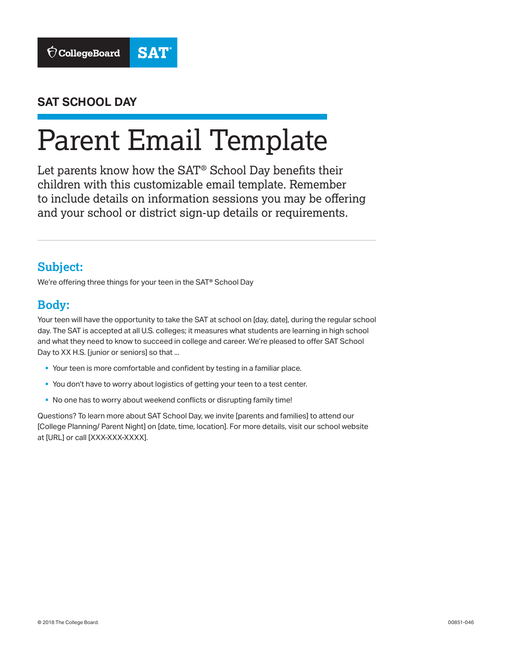

#### **SAT SCHOOL DAY**

# Parent Email Template

Let parents know how the SAT® School Day benefits their children with this customizable email template. Remember to include details on information sessions you may be offering and your school or district sign-up details or requirements.

# **Subject:**

We're offering three things for your teen in the SAT® School Day

# **Body:**

Your teen will have the opportunity to take the SAT at school on [day, date], during the regular school day. The SAT is accepted at all U.S. colleges; it measures what students are learning in high school and what they need to know to succeed in college and career. We're pleased to offer SAT School Day to XX H.S. [junior or seniors] so that ...

- § Your teen is more comfortable and confident by testing in a familiar place.
- § You don't have to worry about logistics of getting your teen to a test center.
- § No one has to worry about weekend conflicts or disrupting family time!

Questions? To learn more about SAT School Day, we invite [parents and families] to attend our [College Planning/ Parent Night] on [date, time, location]. For more details, visit our school website at [URL] or call [XXX-XXX-XXXX].